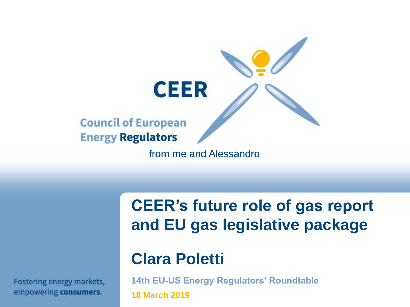

**CEER's future role of gas report and EU gas legislative package**

### **Clara Poletti**

**14th EU-US Energy Regulators' Roundtable** 

**18 March 2019**

Fostering energy markets, empowering consumers.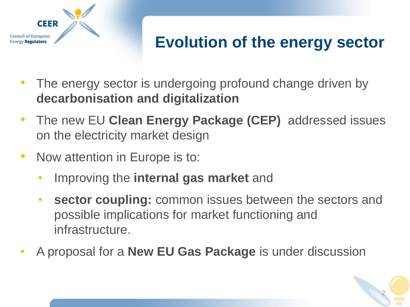

## **Evolution of the energy sector**

- The energy sector is undergoing profound change driven by **decarbonisation and digitalization**
- The new EU **Clean Energy Package (CEP)** addressed issues on the electricity market design
- Now attention in Europe is to:
	- Improving the **internal gas market** and
	- **sector coupling:** common issues between the sectors and possible implications for market functioning and infrastructure.
- A proposal for a **New EU Gas Package** is under discussion

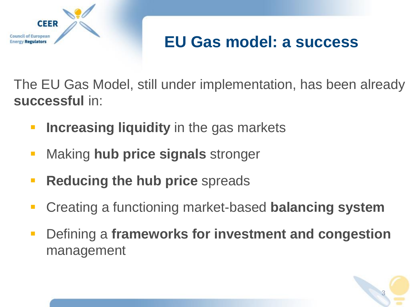

### **EU Gas model: a success**

The EU Gas Model, still under implementation, has been already **successful** in:

- **E.** Increasing liquidity in the gas markets
- Making **hub price signals** stronger
- **Reducing the hub price** spreads
- Creating a functioning market-based **balancing system**
- Defining a **frameworks for investment and congestion**  management

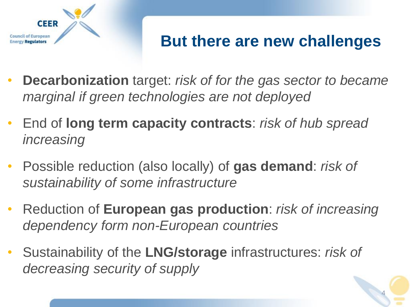

### **But there are new challenges**

- **Decarbonization** target: *risk of for the gas sector to became marginal if green technologies are not deployed*
- End of **long term capacity contracts**: *risk of hub spread increasing*
- Possible reduction (also locally) of **gas demand**: *risk of sustainability of some infrastructure*
- Reduction of **European gas production**: *risk of increasing dependency form non-European countries*
- Sustainability of the **LNG/storage** infrastructures: *risk of decreasing security of supply*

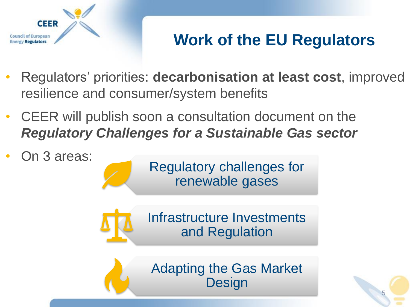

# **Work of the EU Regulators**

- Regulators' priorities: **decarbonisation at least cost**, improved resilience and consumer/system benefits
- CEER will publish soon a consultation document on the *Regulatory Challenges for a Sustainable Gas sector*
- On 3 areas:

Regulatory challenges for renewable gases



Adapting the Gas Market **Design** 

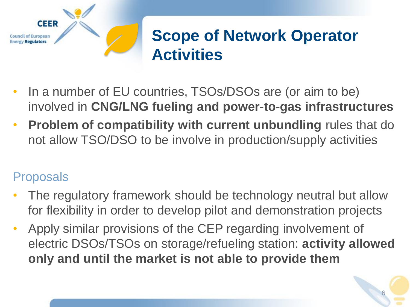

### **Scope of Network Operator Activities**

- In a number of EU countries, TSOs/DSOs are (or aim to be) involved in **CNG/LNG fueling and power-to-gas infrastructures**
- **Problem of compatibility with current unbundling** rules that do not allow TSO/DSO to be involve in production/supply activities

- The regulatory framework should be technology neutral but allow for flexibility in order to develop pilot and demonstration projects
- Apply similar provisions of the CEP regarding involvement of electric DSOs/TSOs on storage/refueling station: **activity allowed only and until the market is not able to provide them**

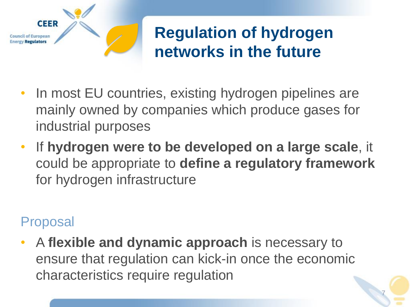

### **Regulation of hydrogen networks in the future**

7

- In most EU countries, existing hydrogen pipelines are mainly owned by companies which produce gases for industrial purposes
- If **hydrogen were to be developed on a large scale**, it could be appropriate to **define a regulatory framework**  for hydrogen infrastructure

#### Proposal

• A **flexible and dynamic approach** is necessary to ensure that regulation can kick-in once the economic characteristics require regulation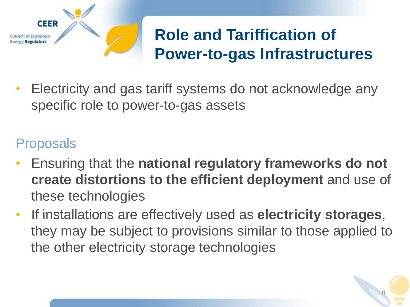

# **Role and Tariffication of Power-to-gas Infrastructures**

• Electricity and gas tariff systems do not acknowledge any specific role to power-to-gas assets

- Ensuring that the **national regulatory frameworks do not create distortions to the efficient deployment** and use of these technologies
- If installations are effectively used as **electricity storages**, they may be subject to provisions similar to those applied to the other electricity storage technologies

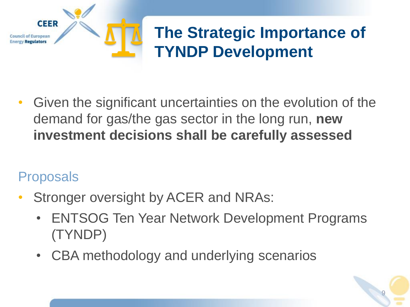

## **The Strategic Importance of TYNDP Development**

• Given the significant uncertainties on the evolution of the demand for gas/the gas sector in the long run, **new investment decisions shall be carefully assessed**

- Stronger oversight by ACER and NRAs:
	- ENTSOG Ten Year Network Development Programs (TYNDP)
	- CBA methodology and underlying scenarios

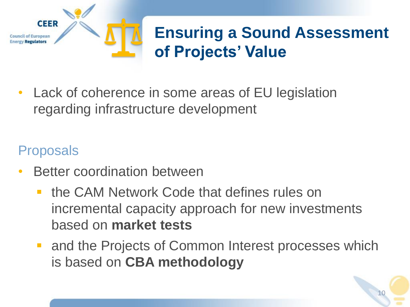

• Lack of coherence in some areas of EU legislation regarding infrastructure development

- Better coordination between
	- the CAM Network Code that defines rules on incremental capacity approach for new investments based on **market tests**
	- and the Projects of Common Interest processes which is based on **CBA methodology**

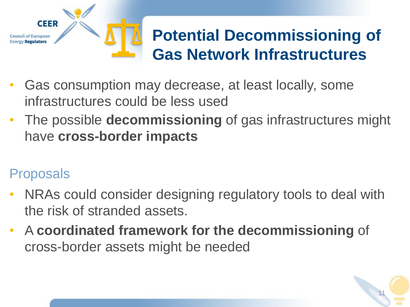

- Gas consumption may decrease, at least locally, some infrastructures could be less used
- The possible **decommissioning** of gas infrastructures might have **cross-border impacts**

- NRAs could consider designing regulatory tools to deal with the risk of stranded assets.
- A **coordinated framework for the decommissioning** of cross-border assets might be needed